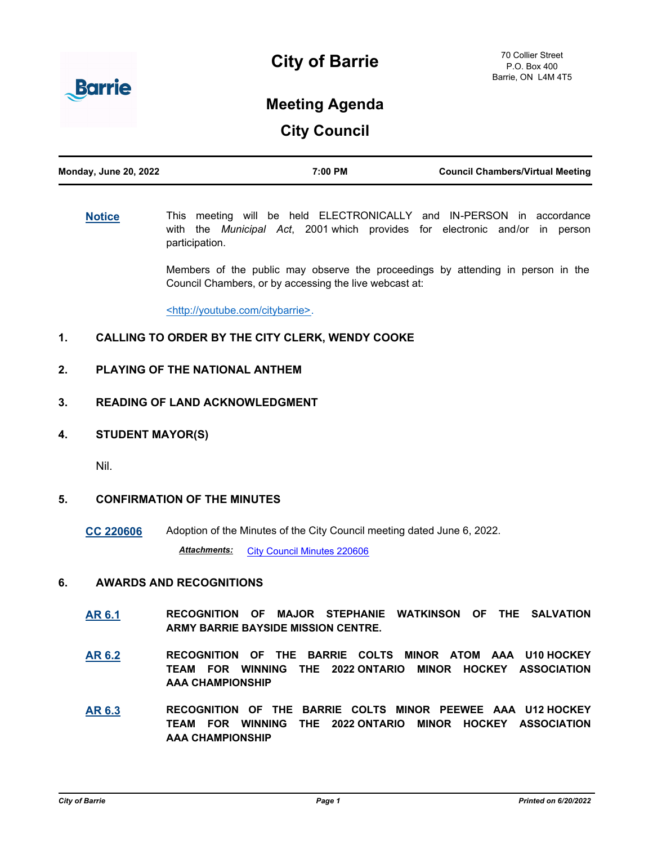

## **City of Barrie**

# **Meeting Agenda**

**City Council**

| <b>Monday, June 20, 2022</b> | 7:00 PM | <b>Council Chambers/Virtual Meeting</b> |
|------------------------------|---------|-----------------------------------------|
|                              |         |                                         |

**[Notice](http://barrie.ca.legistar.com/gateway.aspx?m=l&id=/matter.aspx?key=46586)** This meeting will be held ELECTRONICALLY and IN-PERSON in accordance with the *Municipal Act*, 2001 which provides for electronic and/or in person participation.

> Members of the public may observe the proceedings by attending in person in the Council Chambers, or by accessing the live webcast at:

<http://youtube.com/citybarrie>.

### **1. CALLING TO ORDER BY THE CITY CLERK, WENDY COOKE**

#### **2. PLAYING OF THE NATIONAL ANTHEM**

#### **3. READING OF LAND ACKNOWLEDGMENT**

**4. STUDENT MAYOR(S)**

Nil.

#### **5. CONFIRMATION OF THE MINUTES**

**[CC 220606](http://barrie.ca.legistar.com/gateway.aspx?m=l&id=/matter.aspx?key=50901)** Adoption of the Minutes of the City Council meeting dated June 6, 2022.

Attachments: [City Council Minutes 220606](http://barrie.ca.legistar.com/gateway.aspx?M=F&ID=393e69c5-442d-42f3-aa85-87b59ee423ee.pdf)

#### **6. AWARDS AND RECOGNITIONS**

- **[AR 6.1](http://barrie.ca.legistar.com/gateway.aspx?m=l&id=/matter.aspx?key=50905) RECOGNITION OF MAJOR STEPHANIE WATKINSON OF THE SALVATION ARMY BARRIE BAYSIDE MISSION CENTRE.**
- **[AR 6.2](http://barrie.ca.legistar.com/gateway.aspx?m=l&id=/matter.aspx?key=50907) RECOGNITION OF THE BARRIE COLTS MINOR ATOM AAA U10 HOCKEY TEAM FOR WINNING THE 2022 ONTARIO MINOR HOCKEY ASSOCIATION AAA CHAMPIONSHIP**
- **[AR 6.3](http://barrie.ca.legistar.com/gateway.aspx?m=l&id=/matter.aspx?key=50906) RECOGNITION OF THE BARRIE COLTS MINOR PEEWEE AAA U12 HOCKEY TEAM FOR WINNING THE 2022 ONTARIO MINOR HOCKEY ASSOCIATION AAA CHAMPIONSHIP**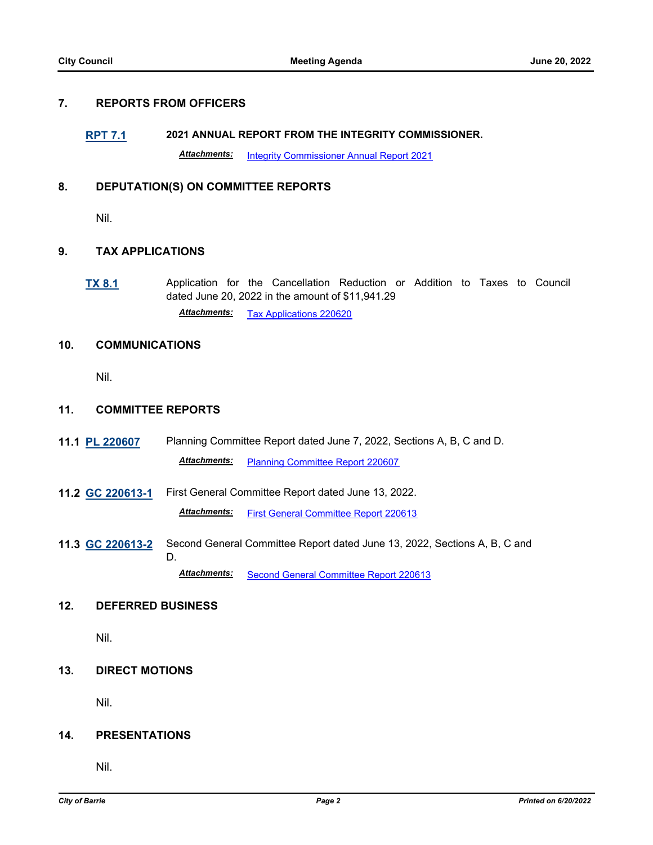#### **7. REPORTS FROM OFFICERS**

## **[RPT 7.1](http://barrie.ca.legistar.com/gateway.aspx?m=l&id=/matter.aspx?key=50908) 2021 ANNUAL REPORT FROM THE INTEGRITY COMMISSIONER.** *Attachments:* [Integrity Commissioner Annual Report 2021](http://barrie.ca.legistar.com/gateway.aspx?M=F&ID=6851697d-4365-4c83-892c-1d0473241e50.pdf)

#### **8. DEPUTATION(S) ON COMMITTEE REPORTS**

Nil.

#### **9. TAX APPLICATIONS**

**[TX 8.1](http://barrie.ca.legistar.com/gateway.aspx?m=l&id=/matter.aspx?key=50840)** Application for the Cancellation Reduction or Addition to Taxes to Council dated June 20, 2022 in the amount of \$11,941.29 *Attachments:* [Tax Applications 220620](http://barrie.ca.legistar.com/gateway.aspx?M=F&ID=0a180325-f8e9-48bd-845f-f7d1b77b8e38.pdf)

#### **10. COMMUNICATIONS**

Nil.

#### **11. COMMITTEE REPORTS**

- **11.1 [PL 220607](http://barrie.ca.legistar.com/gateway.aspx?m=l&id=/matter.aspx?key=50902)** Planning Committee Report dated June 7, 2022, Sections A, B, C and D. *Attachments:* [Planning Committee Report 220607](http://barrie.ca.legistar.com/gateway.aspx?M=F&ID=60ca5a32-9d73-4bf2-9d37-5e3c5d8659a1.pdf)
- **11.2 [GC 220613-1](http://barrie.ca.legistar.com/gateway.aspx?m=l&id=/matter.aspx?key=50903)** First General Committee Report dated June 13, 2022. *Attachments:* [First General Committee Report 220613](http://barrie.ca.legistar.com/gateway.aspx?M=F&ID=42a84a28-1088-478d-90ac-74e54e22c2c3.pdf)
- **11.3 [GC 220613-2](http://barrie.ca.legistar.com/gateway.aspx?m=l&id=/matter.aspx?key=50904)** Second General Committee Report dated June 13, 2022, Sections A, B, C and D.

*Attachments:* [Second General Committee Report 220613](http://barrie.ca.legistar.com/gateway.aspx?M=F&ID=94039849-ecce-480e-941a-79425d8f6acb.pdf)

#### **12. DEFERRED BUSINESS**

Nil.

#### **13. DIRECT MOTIONS**

Nil.

#### **14. PRESENTATIONS**

Nil.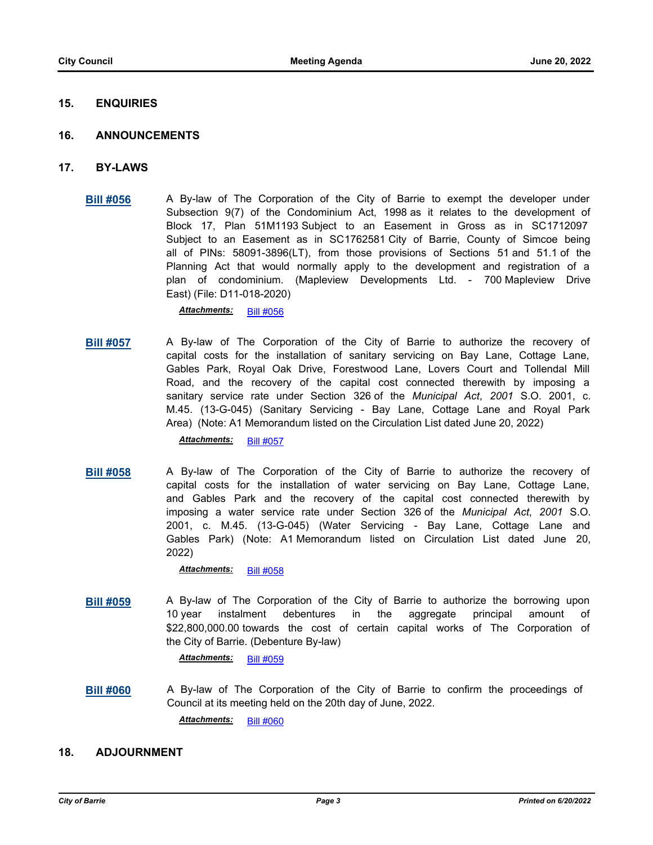#### **15. ENQUIRIES**

#### **16. ANNOUNCEMENTS**

- **17. BY-LAWS**
	- **[Bill #056](http://barrie.ca.legistar.com/gateway.aspx?m=l&id=/matter.aspx?key=50885)** A By-law of The Corporation of the City of Barrie to exempt the developer under Subsection 9(7) of the Condominium Act, 1998 as it relates to the development of Block 17, Plan 51M1193 Subject to an Easement in Gross as in SC1712097 Subject to an Easement as in SC1762581 City of Barrie, County of Simcoe being all of PINs: 58091-3896(LT), from those provisions of Sections 51 and 51.1 of the Planning Act that would normally apply to the development and registration of a plan of condominium. (Mapleview Developments Ltd. - 700 Mapleview Drive East) (File: D11-018-2020)

*Attachments:* [Bill #056](http://barrie.ca.legistar.com/gateway.aspx?M=F&ID=3a5bb19d-226d-45f4-a957-57a177d66ac9.pdf)

**[Bill #057](http://barrie.ca.legistar.com/gateway.aspx?m=l&id=/matter.aspx?key=50898)** A By-law of The Corporation of the City of Barrie to authorize the recovery of capital costs for the installation of sanitary servicing on Bay Lane, Cottage Lane, Gables Park, Royal Oak Drive, Forestwood Lane, Lovers Court and Tollendal Mill Road, and the recovery of the capital cost connected therewith by imposing a sanitary service rate under Section 326 of the *Municipal Act*, *2001* S.O. 2001, c. M.45. (13-G-045) (Sanitary Servicing - Bay Lane, Cottage Lane and Royal Park Area) (Note: A1 Memorandum listed on the Circulation List dated June 20, 2022)

*Attachments:* [Bill #057](http://barrie.ca.legistar.com/gateway.aspx?M=F&ID=ca6ef92d-1e78-47f0-9cc6-657636d92791.pdf)

**[Bill #058](http://barrie.ca.legistar.com/gateway.aspx?m=l&id=/matter.aspx?key=50899)** A By-law of The Corporation of the City of Barrie to authorize the recovery of capital costs for the installation of water servicing on Bay Lane, Cottage Lane, and Gables Park and the recovery of the capital cost connected therewith by imposing a water service rate under Section 326 of the *Municipal Act*, *2001* S.O. 2001, c. M.45. (13-G-045) (Water Servicing - Bay Lane, Cottage Lane and Gables Park) (Note: A1 Memorandum listed on Circulation List dated June 20, 2022)

Attachments: **[Bill #058](http://barrie.ca.legistar.com/gateway.aspx?M=F&ID=a18610e4-2eed-46ba-adbf-ba1b1c8e0e9d.pdf)** 

**[Bill #059](http://barrie.ca.legistar.com/gateway.aspx?m=l&id=/matter.aspx?key=50900)** A By-law of The Corporation of the City of Barrie to authorize the borrowing upon 10 year instalment debentures in the aggregate principal amount of \$22,800,000.00 towards the cost of certain capital works of The Corporation of the City of Barrie. (Debenture By-law)

*Attachments:* [Bill #059](http://barrie.ca.legistar.com/gateway.aspx?M=F&ID=b6a2ae5b-daec-4115-a9d8-f3ecaba865fd.pdf)

**[Bill #060](http://barrie.ca.legistar.com/gateway.aspx?m=l&id=/matter.aspx?key=50909)** A By-law of The Corporation of the City of Barrie to confirm the proceedings of Council at its meeting held on the 20th day of June, 2022.

*Attachments:* [Bill #060](http://barrie.ca.legistar.com/gateway.aspx?M=F&ID=9d6a8482-3b4b-4606-872f-f905664b3846.pdf)

#### **18. ADJOURNMENT**